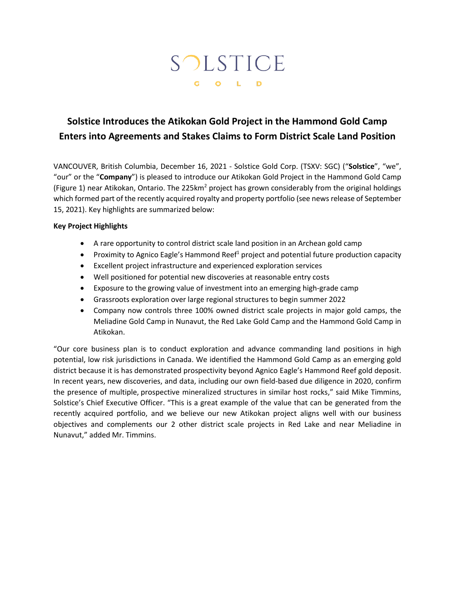# SOLSTICE G O L D

## **Solstice Introduces the Atikokan Gold Project in the Hammond Gold Camp Enters into Agreements and Stakes Claims to Form District Scale Land Position**

VANCOUVER, British Columbia, December 16, 2021 - Solstice Gold Corp. (TSXV: SGC) ("**Solstice**", "we", "our" or the "**Company**") is pleased to introduce our Atikokan Gold Project in the Hammond Gold Camp (Figure 1) near Atikokan, Ontario. The 225 $km^2$  project has grown considerably from the original holdings which formed part of the recently acquired royalty and property portfolio (see news release of September 15, 2021). Key highlights are summarized below:

### **Key Project Highlights**

- A rare opportunity to control district scale land position in an Archean gold camp
- Proximity to Agnico Eagle's Hammond Reef<sup>1</sup> project and potential future production capacity
- Excellent project infrastructure and experienced exploration services
- Well positioned for potential new discoveries at reasonable entry costs
- Exposure to the growing value of investment into an emerging high-grade camp
- Grassroots exploration over large regional structures to begin summer 2022
- Company now controls three 100% owned district scale projects in major gold camps, the Meliadine Gold Camp in Nunavut, the Red Lake Gold Camp and the Hammond Gold Camp in Atikokan.

"Our core business plan is to conduct exploration and advance commanding land positions in high potential, low risk jurisdictions in Canada. We identified the Hammond Gold Camp as an emerging gold district because it is has demonstrated prospectivity beyond Agnico Eagle's Hammond Reef gold deposit. In recent years, new discoveries, and data, including our own field-based due diligence in 2020, confirm the presence of multiple, prospective mineralized structures in similar host rocks," said Mike Timmins, Solstice's Chief Executive Officer. "This is a great example of the value that can be generated from the recently acquired portfolio, and we believe our new Atikokan project aligns well with our business objectives and complements our 2 other district scale projects in Red Lake and near Meliadine in Nunavut," added Mr. Timmins.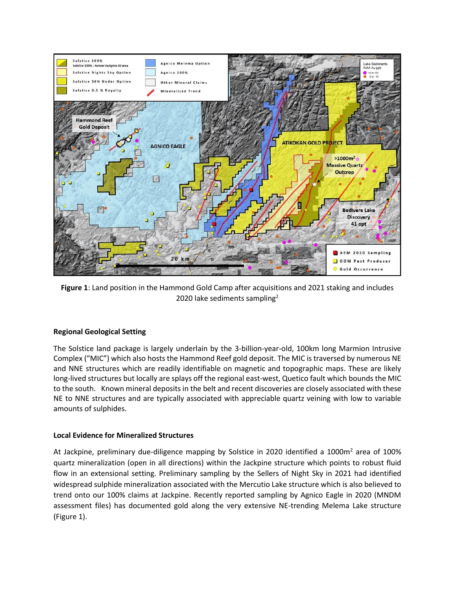

**Figure 1**: Land position in the Hammond Gold Camp after acquisitions and 2021 staking and includes 2020 lake sediments sampling<sup>2</sup>

#### **Regional Geological Setting**

The Solstice land package is largely underlain by the 3-billion-year-old, 100km long Marmion Intrusive Complex ("MIC") which also hosts the Hammond Reef gold deposit. The MIC is traversed by numerous NE and NNE structures which are readily identifiable on magnetic and topographic maps. These are likely long-lived structures but locally are splays off the regional east-west, Quetico fault which bounds the MIC to the south. Known mineral deposits in the belt and recent discoveries are closely associated with these NE to NNE structures and are typically associated with appreciable quartz veining with low to variable amounts of sulphides.

#### **Local Evidence for Mineralized Structures**

At Jackpine, preliminary due-diligence mapping by Solstice in 2020 identified a 1000m<sup>2</sup> area of 100% quartz mineralization (open in all directions) within the Jackpine structure which points to robust fluid flow in an extensional setting. Preliminary sampling by the Sellers of Night Sky in 2021 had identified widespread sulphide mineralization associated with the Mercutio Lake structure which is also believed to trend onto our 100% claims at Jackpine. Recently reported sampling by Agnico Eagle in 2020 (MNDM assessment files) has documented gold along the very extensive NE-trending Melema Lake structure (Figure 1).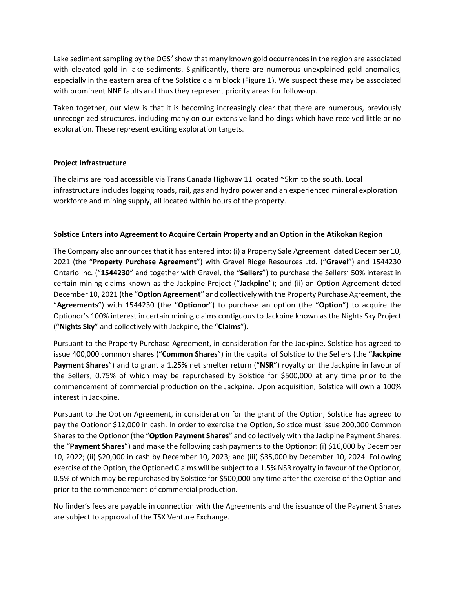Lake sediment sampling by the OGS<sup>2</sup> show that many known gold occurrences in the region are associated with elevated gold in lake sediments. Significantly, there are numerous unexplained gold anomalies, especially in the eastern area of the Solstice claim block (Figure 1). We suspect these may be associated with prominent NNE faults and thus they represent priority areas for follow-up.

Taken together, our view is that it is becoming increasingly clear that there are numerous, previously unrecognized structures, including many on our extensive land holdings which have received little or no exploration. These represent exciting exploration targets.

### **Project Infrastructure**

The claims are road accessible via Trans Canada Highway 11 located ~5km to the south. Local infrastructure includes logging roads, rail, gas and hydro power and an experienced mineral exploration workforce and mining supply, all located within hours of the property.

### **Solstice Enters into Agreement to Acquire Certain Property and an Option in the Atikokan Region**

The Company also announces that it has entered into: (i) a Property Sale Agreement dated December 10, 2021 (the "**Property Purchase Agreement**") with Gravel Ridge Resources Ltd. ("**Grave**l") and 1544230 Ontario Inc. ("**1544230**" and together with Gravel, the "**Sellers**") to purchase the Sellers' 50% interest in certain mining claims known as the Jackpine Project ("**Jackpine**"); and (ii) an Option Agreement dated December 10, 2021 (the "**Option Agreement**" and collectively with the Property Purchase Agreement, the "**Agreements**") with 1544230 (the "**Optionor**") to purchase an option (the "**Option**") to acquire the Optionor's 100% interest in certain mining claims contiguous to Jackpine known as the Nights Sky Project ("**Nights Sky**" and collectively with Jackpine, the "**Claims**").

Pursuant to the Property Purchase Agreement, in consideration for the Jackpine, Solstice has agreed to issue 400,000 common shares ("**Common Shares**") in the capital of Solstice to the Sellers (the "**Jackpine Payment Shares**") and to grant a 1.25% net smelter return ("**NSR**") royalty on the Jackpine in favour of the Sellers, 0.75% of which may be repurchased by Solstice for \$500,000 at any time prior to the commencement of commercial production on the Jackpine. Upon acquisition, Solstice will own a 100% interest in Jackpine.

Pursuant to the Option Agreement, in consideration for the grant of the Option, Solstice has agreed to pay the Optionor \$12,000 in cash. In order to exercise the Option, Solstice must issue 200,000 Common Shares to the Optionor (the "**Option Payment Shares**" and collectively with the Jackpine Payment Shares, the "**Payment Shares**") and make the following cash payments to the Optionor: (i) \$16,000 by December 10, 2022; (ii) \$20,000 in cash by December 10, 2023; and (iii) \$35,000 by December 10, 2024. Following exercise of the Option, the Optioned Claims will be subject to a 1.5% NSR royalty in favour of the Optionor, 0.5% of which may be repurchased by Solstice for \$500,000 any time after the exercise of the Option and prior to the commencement of commercial production.

No finder's fees are payable in connection with the Agreements and the issuance of the Payment Shares are subject to approval of the TSX Venture Exchange.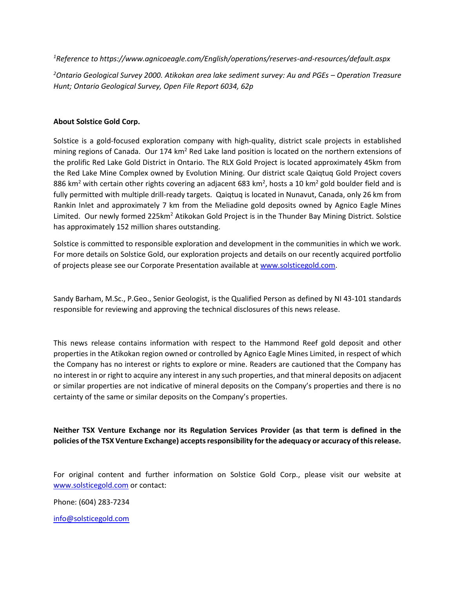*<sup>1</sup>Reference to https://www.agnicoeagle.com/English/operations/reserves-and-resources/default.aspx*

*<sup>2</sup>Ontario Geological Survey 2000. Atikokan area lake sediment survey: Au and PGEs – Operation Treasure Hunt; Ontario Geological Survey, Open File Report 6034, 62p*

#### **About Solstice Gold Corp.**

Solstice is a gold-focused exploration company with high-quality, district scale projects in established mining regions of Canada. Our 174  $km^2$  Red Lake land position is located on the northern extensions of the prolific Red Lake Gold District in Ontario. The RLX Gold Project is located approximately 45km from the Red Lake Mine Complex owned by Evolution Mining. Our district scale Qaiqtuq Gold Project covers 886 km<sup>2</sup> with certain other rights covering an adjacent 683 km<sup>2</sup>, hosts a 10 km<sup>2</sup> gold boulder field and is fully permitted with multiple drill-ready targets. Qaiqtuq is located in Nunavut, Canada, only 26 km from Rankin Inlet and approximately 7 km from the Meliadine gold deposits owned by Agnico Eagle Mines Limited. Our newly formed 225km<sup>2</sup> Atikokan Gold Project is in the Thunder Bay Mining District. Solstice has approximately 152 million shares outstanding.

Solstice is committed to responsible exploration and development in the communities in which we work. For more details on Solstice Gold, our exploration projects and details on our recently acquired portfolio of projects please see our Corporate Presentation available at [www.solsticegold.com.](http://www.solsticegold.com/)

Sandy Barham, M.Sc., P.Geo., Senior Geologist, is the Qualified Person as defined by NI 43-101 standards responsible for reviewing and approving the technical disclosures of this news release.

This news release contains information with respect to the Hammond Reef gold deposit and other properties in the Atikokan region owned or controlled by Agnico Eagle Mines Limited, in respect of which the Company has no interest or rights to explore or mine. Readers are cautioned that the Company has no interest in or right to acquire any interest in any such properties, and that mineral deposits on adjacent or similar properties are not indicative of mineral deposits on the Company's properties and there is no certainty of the same or similar deposits on the Company's properties.

**Neither TSX Venture Exchange nor its Regulation Services Provider (as that term is defined in the policies of the TSX Venture Exchange) accepts responsibility for the adequacy or accuracy of this release.**

For original content and further information on Solstice Gold Corp., please visit our website at [www.solsticegold.com](http://www.solsticegold.com/) or contact:

Phone: (604) 283-7234

[info@solsticegold.com](mailto:info@solsticegold.com)